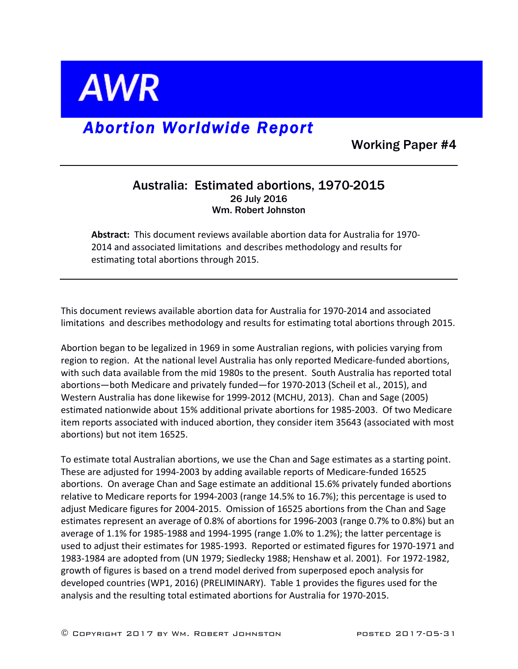

## *Abortion Worldwide Report*

Working Paper #4

## Australia: Estimated abortions, 1970-2015 26 July 2016 Wm. Robert Johnston

**Abstract:** This document reviews available abortion data for Australia for 1970-2014 and associated limitations and describes methodology and results for estimating total abortions through 2015.

This document reviews available abortion data for Australia for 1970-2014 and associated limitations and describes methodology and results for estimating total abortions through 2015.

Abortion began to be legalized in 1969 in some Australian regions, with policies varying from region to region. At the national level Australia has only reported Medicare-funded abortions, with such data available from the mid 1980s to the present. South Australia has reported total abortions-both Medicare and privately funded-for 1970-2013 (Scheil et al., 2015), and Western Australia has done likewise for 1999-2012 (MCHU, 2013). Chan and Sage (2005) estimated nationwide about 15% additional private abortions for 1985-2003. Of two Medicare item reports associated with induced abortion, they consider item 35643 (associated with most abortions) but not item 16525.

To estimate total Australian abortions, we use the Chan and Sage estimates as a starting point. These are adjusted for 1994-2003 by adding available reports of Medicare-funded 16525 abortions. On average Chan and Sage estimate an additional 15.6% privately funded abortions relative to Medicare reports for 1994-2003 (range  $14.5\%$  to  $16.7\%$ ); this percentage is used to adjust Medicare figures for 2004-2015. Omission of 16525 abortions from the Chan and Sage estimates represent an average of 0.8% of abortions for 1996-2003 (range 0.7% to 0.8%) but an average of  $1.1\%$  for 1985-1988 and 1994-1995 (range  $1.0\%$  to  $1.2\%$ ); the latter percentage is used to adjust their estimates for 1985-1993. Reported or estimated figures for 1970-1971 and 1983-1984 are adopted from (UN 1979; Siedlecky 1988; Henshaw et al. 2001). For 1972-1982, growth of figures is based on a trend model derived from superposed epoch analysis for developed countries (WP1, 2016) (PRELIMINARY). Table 1 provides the figures used for the analysis and the resulting total estimated abortions for Australia for 1970-2015.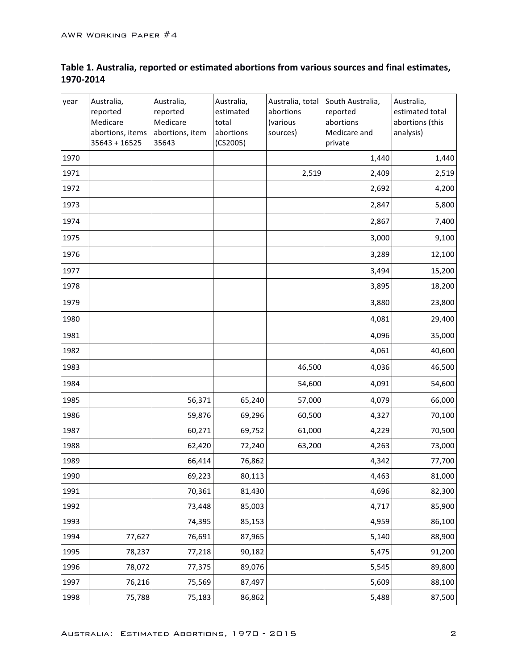## Table 1. Australia, reported or estimated abortions from various sources and final estimates, **1970-2014**

| year | Australia,<br>reported<br>Medicare<br>abortions, items<br>$35643 + 16525$ | Australia,<br>reported<br>Medicare<br>abortions, item<br>35643 | Australia,<br>estimated<br>total<br>abortions<br>(CS2005) | Australia, total<br>abortions<br>(various<br>sources) | South Australia,<br>reported<br>abortions<br>Medicare and<br>private | Australia,<br>estimated total<br>abortions (this<br>analysis) |
|------|---------------------------------------------------------------------------|----------------------------------------------------------------|-----------------------------------------------------------|-------------------------------------------------------|----------------------------------------------------------------------|---------------------------------------------------------------|
| 1970 |                                                                           |                                                                |                                                           |                                                       | 1,440                                                                | 1,440                                                         |
| 1971 |                                                                           |                                                                |                                                           | 2,519                                                 | 2,409                                                                | 2,519                                                         |
| 1972 |                                                                           |                                                                |                                                           |                                                       | 2,692                                                                | 4,200                                                         |
| 1973 |                                                                           |                                                                |                                                           |                                                       | 2,847                                                                | 5,800                                                         |
| 1974 |                                                                           |                                                                |                                                           |                                                       | 2,867                                                                | 7,400                                                         |
| 1975 |                                                                           |                                                                |                                                           |                                                       | 3,000                                                                | 9,100                                                         |
| 1976 |                                                                           |                                                                |                                                           |                                                       | 3,289                                                                | 12,100                                                        |
| 1977 |                                                                           |                                                                |                                                           |                                                       | 3,494                                                                | 15,200                                                        |
| 1978 |                                                                           |                                                                |                                                           |                                                       | 3,895                                                                | 18,200                                                        |
| 1979 |                                                                           |                                                                |                                                           |                                                       | 3,880                                                                | 23,800                                                        |
| 1980 |                                                                           |                                                                |                                                           |                                                       | 4,081                                                                | 29,400                                                        |
| 1981 |                                                                           |                                                                |                                                           |                                                       | 4,096                                                                | 35,000                                                        |
| 1982 |                                                                           |                                                                |                                                           |                                                       | 4,061                                                                | 40,600                                                        |
| 1983 |                                                                           |                                                                |                                                           | 46,500                                                | 4,036                                                                | 46,500                                                        |
| 1984 |                                                                           |                                                                |                                                           | 54,600                                                | 4,091                                                                | 54,600                                                        |
| 1985 |                                                                           | 56,371                                                         | 65,240                                                    | 57,000                                                | 4,079                                                                | 66,000                                                        |
| 1986 |                                                                           | 59,876                                                         | 69,296                                                    | 60,500                                                | 4,327                                                                | 70,100                                                        |
| 1987 |                                                                           | 60,271                                                         | 69,752                                                    | 61,000                                                | 4,229                                                                | 70,500                                                        |
| 1988 |                                                                           | 62,420                                                         | 72,240                                                    | 63,200                                                | 4,263                                                                | 73,000                                                        |
| 1989 |                                                                           | 66,414                                                         | 76,862                                                    |                                                       | 4,342                                                                | 77,700                                                        |
| 1990 |                                                                           | 69,223                                                         | 80,113                                                    |                                                       | 4,463                                                                | 81,000                                                        |
| 1991 |                                                                           | 70,361                                                         | 81,430                                                    |                                                       | 4,696                                                                | 82,300                                                        |
| 1992 |                                                                           | 73,448                                                         | 85,003                                                    |                                                       | 4,717                                                                | 85,900                                                        |
| 1993 |                                                                           | 74,395                                                         | 85,153                                                    |                                                       | 4,959                                                                | 86,100                                                        |
| 1994 | 77,627                                                                    | 76,691                                                         | 87,965                                                    |                                                       | 5,140                                                                | 88,900                                                        |
| 1995 | 78,237                                                                    | 77,218                                                         | 90,182                                                    |                                                       | 5,475                                                                | 91,200                                                        |
| 1996 | 78,072                                                                    | 77,375                                                         | 89,076                                                    |                                                       | 5,545                                                                | 89,800                                                        |
| 1997 | 76,216                                                                    | 75,569                                                         | 87,497                                                    |                                                       | 5,609                                                                | 88,100                                                        |
| 1998 | 75,788                                                                    | 75,183                                                         | 86,862                                                    |                                                       | 5,488                                                                | 87,500                                                        |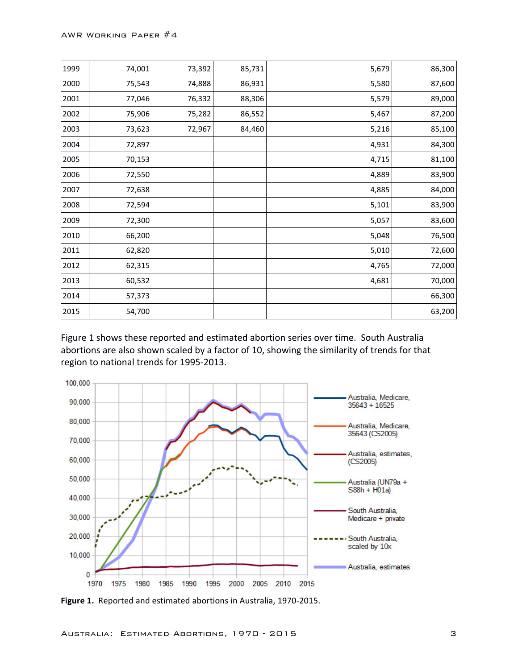| 1999 | 74,001 | 73,392 | 85,731 | 5,679 | 86,300 |
|------|--------|--------|--------|-------|--------|
| 2000 | 75,543 | 74,888 | 86,931 | 5,580 | 87,600 |
| 2001 | 77,046 | 76,332 | 88,306 | 5,579 | 89,000 |
| 2002 | 75,906 | 75,282 | 86,552 | 5,467 | 87,200 |
| 2003 | 73,623 | 72,967 | 84,460 | 5,216 | 85,100 |
| 2004 | 72,897 |        |        | 4,931 | 84,300 |
| 2005 | 70,153 |        |        | 4,715 | 81,100 |
| 2006 | 72,550 |        |        | 4,889 | 83,900 |
| 2007 | 72,638 |        |        | 4,885 | 84,000 |
| 2008 | 72,594 |        |        | 5,101 | 83,900 |
| 2009 | 72,300 |        |        | 5,057 | 83,600 |
| 2010 | 66,200 |        |        | 5,048 | 76,500 |
| 2011 | 62,820 |        |        | 5,010 | 72,600 |
| 2012 | 62,315 |        |        | 4,765 | 72,000 |
| 2013 | 60,532 |        |        | 4,681 | 70,000 |
| 2014 | 57,373 |        |        |       | 66,300 |
| 2015 | 54,700 |        |        |       | 63,200 |

Figure 1 shows these reported and estimated abortion series over time. South Australia abortions are also shown scaled by a factor of 10, showing the similarity of trends for that region to national trends for 1995-2013.



Figure 1. Reported and estimated abortions in Australia, 1970-2015.